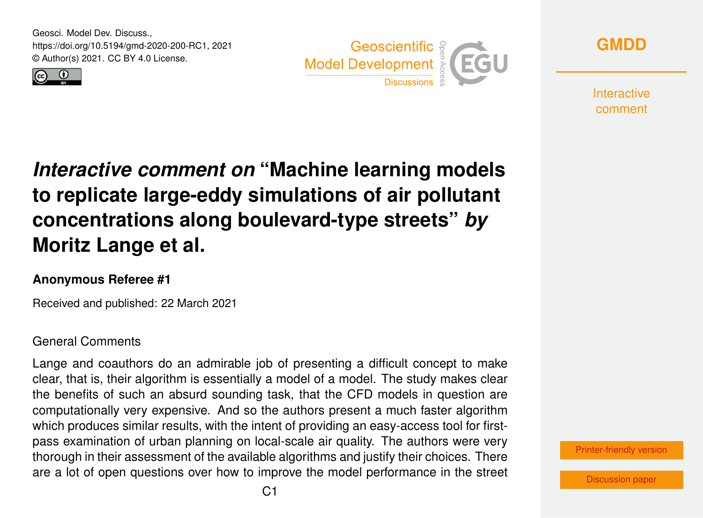Geosci. Model Dev. Discuss., https://doi.org/10.5194/gmd-2020-200-RC1, 2021 © Author(s) 2021. CC BY 4.0 License.







**Interactive** comment

## *Interactive comment on* **"Machine learning models to replicate large-eddy simulations of air pollutant concentrations along boulevard-type streets"** *by* **Moritz Lange et al.**

## **Anonymous Referee #1**

Received and published: 22 March 2021

## General Comments

Lange and coauthors do an admirable job of presenting a difficult concept to make clear, that is, their algorithm is essentially a model of a model. The study makes clear the benefits of such an absurd sounding task, that the CFD models in question are computationally very expensive. And so the authors present a much faster algorithm which produces similar results, with the intent of providing an easy-access tool for firstpass examination of urban planning on local-scale air quality. The authors were very thorough in their assessment of the available algorithms and justify their choices. There are a lot of open questions over how to improve the model performance in the street



[Discussion paper](https://gmd.copernicus.org/preprints/gmd-2020-200)